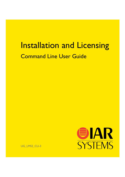# Installation and Licensing Command Line User Guide



UG LMS2 CLI-3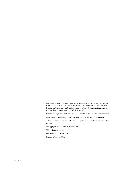IAR Systems, IAR Embedded Workbench, Embedded Trust, C-Trust, IAR Connect, C-SPY, C-RUN, C-STAT, IAR Visual State, IAR KickStart Kit, I-jet, I-jet Trace, I-scope, IAR Academy, IAR, and the logotype of IAR Systems are trademarks or registered trademarks owned by IAR Systems AB.

Linux® is a registered trademark of Linus Torvalds in the U.S. and other countries.

Microsoft and Windows are registered trademarks of Microsoft Corporation.

All other product names are trademarks or registered trademarks of their respective owners.

© Copyright 2020–2022 IAR Systems AB.

Third edition: April 2022

Part number: UG\_LMS2\_CLI-3

Internal reference: IJOA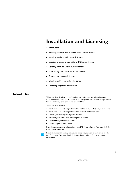## **Installation and Licensing**

- **•** [Introduction](#page-2-0)
- [Installing products with a mobile or PC-locked license](#page-6-0)
- [Installing products with network licenses](#page-7-0)
- [Updating products with mobile or PC-locked licenses](#page-10-0)
- [Updating products with network licenses](#page-11-0)
- [Transferring a mobile or PC-locked license](#page-13-0)
- [Transferring a network license](#page-14-0)
- [Checking out/in your network license](#page-16-0)
- [Collecting diagnostic information](#page-17-0)

## <span id="page-2-0"></span>**Introduction**

This guide describes how to install and update IAR Systems products from the command line on Linux and Microsoft Windows systems, and how to manage licenses for IAR Systems products from the command line.

This guide describes how to:

- Install your IAR Systems product with a **mobile or PC-locked** single-user license
- Install your IAR Systems product with a **network** multi-user license
- **Update** your existing IAR Systems product
- **Transfer** your license from one computer to another
- **Check out/in** your network license
- Collect diagnostic information.

It also includes reference information on the IAR License Server Tools and the IAR Light License Manager.



For installation and licensing instructions using the graphical user interface, see the *Installation and Licensing Quick Reference Guide* available from your product installation.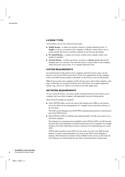#### **LICENSE TYPES**

Your product can use one of these license types:

- **Mobile license**—a single-user license, locked to a dongle (hardware lock). A **dongle** is a device you attach to the computer's USB port, which allows you to easily transfer the license to another computer by just moving the dongle.
- **PC-locked license**—a single-user license, locked to the computer where your product is installed.
- **Network license**—a multi-user license, located on a **license server** and used by multiple users on a network. The network license is locked either to the computer where the license server runs, or to a dongle (hardware lock).

#### <span id="page-3-0"></span>**SYSTEM REQUIREMENTS**

For requirements for the license server computer (network licenses only), see the *Release notes* for the IAR License Server Tools. For requirements for the computer where your IAR Systems product is installed, see the *Release notes* for the product.

**Note:** If you use the same computer as both a license server and a client computer, some types of files that are created by both the server and client, for example diagnostics reports, logs, and so on, will be overwritten by the other application.

#### <span id="page-3-1"></span>**NETWORK REQUIREMENTS**

To use a network license, you need a stable connection between your license server computer and your client computer with appropriate network configurations.

These network settings are required:

● Allow HTTPS traffic on port 443 and set the internet proxy **ON** on your license server for online license management, for example license activation, renewal, or de-activation.

The IAR License Manager uses the HTTPS communication protocol to fetch license keys from IAR Systems.

• Open UPD Port 5093 for inbound and outbound traffic on both your license server and client computer.

The client/server communication is handled via the UDP port 5093 on an IP network. If a firewall or network bridge is installed on the license server computer, for example Windows Firewall, UDP packets must be allowed to be routed through server port 5093.

UDP broadcast packets at port 5093 are also used every time your IAR Systems product is started, and periodically for as long as the IAR License Manager is running. The broadcasts are made to find available license servers on the network. No broadcasts are made during the time that a licensed product is being used.

**4**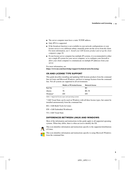- The server computer must have a static TCP/IP address.
- Only IPV4 is supported.
- If the broadcast function is not available in your network configurations or your license server is on a different subnet, manually point out the server from the client. For more information, see *[C. Install your IAR Systems product and set up the client](#page-9-0)  [computers](#page-9-0)*, page 10.
- If your license server computer has multiple-IP systems, it is recommended to either use a single-IP system for your server computer, or to configure your firewall to allow your client computer to communicate on multiple IP addresses from your server.

For more information, see

**https://www.iar.com/knowledge/support/technical-notes/licensing/**.

#### **OS AND LICENSE TYPE SUPPORT**

This guide describes installing and updating IAR Systems products from the command line on Linux and Microsoft Windows, and how to manage licenses from the command line. Not all systems are supported in all environments:

|          | <b>Mobile or PC-locked license</b> | <b>Network license</b> |
|----------|------------------------------------|------------------------|
| Red Hat  |                                    | BX                     |
| Ubuntu   | vs                                 | BX. VS                 |
| Windows* | <b>FW</b>                          | <b>FW</b>              |

*Table 1: Supported license types and operating systems*

\* IAR Visual State can be used on Windows with all three license types, but cannot be installed autonomously from the command line.

BX = IAR Build Tools for Linux

EW = IAR Embedded Workbench

VS = IAR Visual State

#### **DIFFERENCES BETWEEN LINUX AND WINDOWS**

Most of the information and instructions in this guide apply to all supported operating systems. When they differ, there is often an icon to identify the OS.



This icon identifies information and instructions specific to the supported distributions of Linux.



This icon identifies information and instructions specific to using Microsoft Windows from the command line.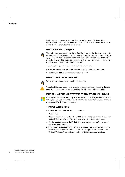In the case where command lines are the same for Linux and Windows, directory separators are written with forward slashes. To use these command lines on Windows, replace the forward slashes with backslashes.

#### **DPKG|RPM AND .DEB|RPM**



The package manager executable file for Red Hat is rpm and the filename extension for its associated archive files is .rpm. For Ubuntu, the package manager executable file is dpkg and the filename extension for its associated archive files is .deb. When an example is given in this guide of an invocation of the package manager, both options will be given, separated by a pipe character, like this:

\$ sudo dpkg|rpm -i *lic\_server\_package*.deb|rpm

Use the appropriate alternatives for the Linux distribution that you are using.

**Note:** IAR Visual State cannot be installed on Red Hat.

#### **USING THE SUDO COMMAND**



When you use the sudo command, be aware of this:

Using lightlicensemanager commands with sudo privileges will mean that you must also use sudo when you are compiling. For this reason, it is best avoided.

#### **INSTALLING THE IAR SYSTEMS PRODUCT ON WINDOWS**



Running the installer autonomously from the command line, it is possible to install the IAR Systems product without human interaction. However, autonomous installation is not supported for the license server tools.

#### **TROUBLESHOOTING**

If you have problems with installation or licensing:

- Read this guide.
- Read the *Release notes* for the IAR Light License Manager, and the *Release notes* for the IAR License Server Tools available from your product installation.
- See the technical notes on the Technical Support pages on the IAR Systems web site, **www.iar.com/support**.
- Go to **www.iar.com/customercare** and view **FAQ** for answers to questions about licenses, product updates, evaluation versions and registrations, or contact IAR Systems Customer Care, preferably with collected diagnostic information.

**6**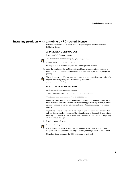## <span id="page-6-0"></span>**Installing products with a mobile or PC-locked license**

Follow these instructions to install your IAR Systems product with a mobile or PC-locked license.

#### <span id="page-6-2"></span>**A. INSTALL YOUR PRODUCT**

**1** Install your IAR Systems product:

The default installation directory is /opt/iarsystems/.



\$ sudo dpkg -i ./*product*.deb

where *product* is the name of your IAR Systems product installer.

**2** After the installation, the IAR Light License Manager is automatically installed by default in the ./license/bin or common/bin directory, depending on your product package.



The environment variable IAR\_LMS\_SETTINGS\_DIR can be used to control where the log files and settings are placed. The default placement is in /usr/local/etc/IARSystems.

#### <span id="page-6-1"></span>**B. ACTIVATE YOUR LICENSE**

**1** Activate your temporary startup license:

lightlicensemanager activate *xxxx-xxx-xxx-xxxx*

where *xxxx-xxx-xxx-xxxx* is your license number.

Follow the instructions to register your product. During the registration process, you will receive an email from IAR Systems. After confirming your web registration, re-run the activate command to activate a temporary license. You can start using your product directly.

- **2** If you have a mobile license, attach the dongle to your computer and make sure that only the license dongle is connected. The default location of the dongle drivers is in the directory ./license/drivers/dongle or ./common/driver/dongle, depending on your product package.
- **3** Install the dongle drivers:



\$ sudo sh sud\_install.sh

If your dongle has not arrived yet, you can temporarily lock your license to your computer (one computer only). When you receive your dongle, repeat the activation.

**Note:** For virtual machines, the USB port should be activated.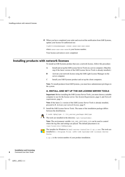**4** When you have completed your order and received the notification from IAR Systems, update your license for authorized use:

lightlicensemanager renew *xxxx-xxx-xxx-xxxx*

where *xxxx-xxx-xxx-xxxx* is your license number.

Your license activation is now completed.

## <span id="page-7-0"></span>**Installing products with network licenses**

To install an IAR Systems product that uses a network license, follow this procedure:

- **A** Install and set up the IAR License Server Tools on a server computer. (Skip this step if the latest version of the IAR License Server Tools is already installed.)
- **B** Activate your network license using the IAR Light License Manager on the server computer.
- C Install your IAR Systems product and set up the client computers.

**Note:** To install products from IAR Systems, you must have administrator privileges to the system.

#### <span id="page-7-1"></span>**A. INSTALL AND SET UP THE IAR LICENSE SERVER TOOLS**

**Important:** Before installing the IAR License Server Tools, you must choose a suitable computer to use for the license server. See *[System Requirements](#page-3-0)*, page 4, and *[Network](#page-3-1)  [requirements](#page-3-1)*, page 4.

**Note:** If the latest 2.x version of the IAR License Server Tools is already installed, proceed to *[B. Activate your network license](#page-8-0)*, page 9.

**1** Install the IAR License Server Tools. The name of the installation package differs between the distributions.



\$ sudo dpkg|rpm -i *lic\_server\_package*.deb|rpm

The tools are installed in the directory /opt/iarsystems/.

**Note:** The environment variable IAR\_LMS\_SETTINGS\_DIR can be used to control where the log files and settings are placed. The default placement is in /usr/local/etc/IARSystems.



The installer for Windows is lms2-server-installer-2.*xy.z*.exe. The tools are installed in c:\Program Files (x86)\IAR Systems\IAR License Server Tools.

2.*xy.z* is the version number of your product installation.

**8**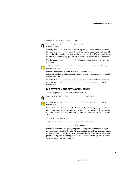

**2** Start the license server in root user mode:

```
$ cd /opt/iarsystems/license_server_tools/common/bin
$ sudo ./lserv64
```
**Note:** By default, the server license file and log file will be created in the directory license\_server\_tools/common/bin. If you want to create the server license file and the log file in another directory, use the options -s and -l. If you want the license server to start automatically, you can, for example, use update-rc.d or systemd.

Use the command  $l$  serv64 --help for information about the available  $l$  serv64 commands.



c:\Program Files (x86)\IAR Systems\IAR License Server Tools\ common\bin\lservnt.exe -X start

For more information, see the IAR Systems *Licensing Guide* (LicensingGuide\_LMS2.ENU.pdf), available in the IAR License Server Tools\ common\doc\ directory.

**Note:** By default, the server license file and log file will be created in the directory c:\Program Files (x86)\IAR Systems\IAR License Server Tools\ common\bin.

#### <span id="page-8-0"></span>**B. ACTIVATE YOUR NETWORK LICENSE**

The default path to the IAR License Server Tools is:



/opt/iarsystems/license\_server\_tools/common/bin



c:\Program Files (x86)\IAR Systems\IAR License Server Tools\ common\bin

**Important:** Two network licenses for the same IAR product and package cannot coexist on the same license server, with the later activated license overwriting the previous one. If you want to add more users to an existing network license, contact your IAR Sales office.

**1** Activate your network license:

lightlicensemanager activate *xxxx-xxx-xxx-xxxx*

where *xxxx-xxx-xxx-xxxx* is your license number.

Follow the instructions to register your product. During the registration process, you will receive an email from IAR Systems. After confirming your web registration, re-run the activate command in step 1 to activate a temporary license. You can start using your product directly after performing the steps in *[C. Install your IAR Systems product and](#page-9-0)  [set up the client computers](#page-9-0)*, page 10.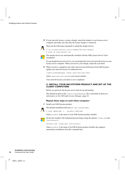**2** If your network license is using a dongle, attach the dongle to your license server computer and make sure that only the license dongle is connected.



Then run the following commands to install the dongle drivers:

\$ cd license server tools/common/drivers/dongle \$ sudo sh sud\_install.sh

The dongle drivers are automatically installed with the IAR License Server Tools installation.

If your dongle has not arrived yet, you can temporarily lock your network license to your license server computer. When you receive your dongle, repeat the activation.

**3** When you have completed your order and received notification from IAR Systems, update your network license for authorized use:

lightlicensemanager renew *xxxx-xxx-xxx-xxxx*

where *xxxx-xxx-xxx-xxxx* is your license number.

Your network license activation is now completed.

#### <span id="page-9-0"></span>**C. INSTALL YOUR IAR SYSTEMS PRODUCT AND SET UP THE CLIENT COMPUTERS**

Before you proceed, the license server must be up and running.

The default location of the lightlicensemanager file is described in *[Reference](#page-21-0)  [information on the IAR Light License Manager](#page-21-0)*, page 22.

#### **Repeat these steps on each client computer:**

**1** Install your IAR Systems product:

The default installation directory is /opt/iarsystems/.



\$ sudo dpkg|rpm -i *./product*.deb|rpm

where *product* is the name of your IAR Systems product installer.



Invoke the installer with Administrator privileges using the options /hide\_usd and /autoinstall:

*product*.exe /hide\_usd /autoinstall

where *product* is the name of an IAR Systems product installer that supports autonomous installation from the command line.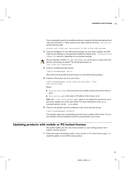You can optionally specify an installation directory, using the full absolute path prefixed with a forward slash  $($ ). There cannot be any space character between /autoinstall and the directory path:

*product*.exe /hide\_usd /autoinstall/D:\My Folder\IAR\_Systems

**2** After the installation of your IAR Systems product on your client computer, the IAR Light License Manager is automatically installed by default in the ./license/bin or common/bin directory, depending on your product package.



The environment variable IAR\_LMS\_SETTINGS\_DIR can be used to control where the log files and settings are placed. The default placement is in /usr/local/etc/IARSystems.

**3** Look for available network licenses:

lightlicensemanager nwlics

This will list all accessible network licenses of your IAR Systems products.

**4** Connect to the license server of your choice:

```
lightlicensemanager setup xxxx-xxx-xxx-xxxx --host 
host_server_name
```
Where:

- *xxxx-xxx-xxx-xxxx* is the network license number selected from those listed in step 3.
- *host\_server\_name* is the name or IP address of the license server.

**Note:** The --host *host server* name option is not required if your license server and client computer are in the same subnet. For more information on the setup command options, use the --help option.

**5** Check if your product has been connected to the correct network license:

lightlicensemanager products

Your product name and corresponding network license number will be listed. You are now finished with the installation and the licensed product can be used.

### <span id="page-10-0"></span>**Updating products with mobile or PC-locked licenses**

The product update uses the same license number as your existing product, but it requires a license renewal.

**1** Follow the steps in *[Installing products with a mobile or PC-locked license](#page-6-0)*, page 7, to install the update of your IAR Systems product.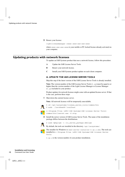**2** Renew your license:

lightlicensemanager renew *xxxx-xxx-xxx-xxxx*

where *xxxx-xxx-xxx-xxxx* is your mobile or PC-locked license already activated on your computer.

## <span id="page-11-0"></span>**Updating products with network licenses**

To update an IAR Systems product that uses a network license, follow this procedure:

- **A** Update the IAR License Server Tools.
- **B** Renew your network license.
- **C** Install your IAR Systems product update on each client computer.

#### **A. UPDATE THE IAR LICENSE SERVER TOOLS**

Skip this step if the latest version of the IAR License Server Tools is already installed.

**Note:** The version number of the IAR License Server Tools (2.*xx*) must be equal to or higher than the version number of the Light License Manager or License Manager (2.*yy*) included in your product.

Product updates for network licenses might come with an updated license server. If that is the case, perform these steps:

**1** Shut down the current license server.

**Note:** All network licenses will be temporarily unavailable.



\$ cd /opt/iarsystems/license\_server\_tools/common/bin \$ sudo ./lsrvdown64 localhost



c:\Program Files (x86)\IAR Systems\IAR License Server Tools\ common\bin\lservnt.exe -X stop



**2** Install the newer version of IAR License Server Tools. The name of the installation package differs between the distributions.



\$ sudo dpkg|rpm -i *lic\_server\_package*.deb|rpm

By default, the tools are installed in the directory /opt/iarsystems/.



The installer for Windows is lms2-server-installer-2.*xy.z*.exe. The tools are installed in c:\Program Files (x86)\IAR Systems\IAR License Server Tools.

2.*xy.z* is the version number of your product installation.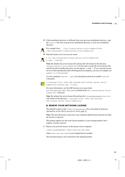**3** If the installation directory is different from your previous installation directory, copy the lservrc file from your previous installation directory to your new installation directory.



For example from .../iar\_license\_server\_tools/common/bin to /opt/iarsystems/license\_server\_tools/common/bin.

**4** Start the license server in root user mode.



\$ cd /opt/iarsystems/license\_server\_tools/common/bin \$ sudo ./lserv64

**Note:** By default, the server license file and log file will remain in the directory license\_server\_tools/common/bin. If you want to create the server license file and the log file in another directory, use the options -s and -l. If you want the license server to start automatically after rebooting the host computer, you can, for example, use update-rc.d or systemd.

Use the command lserv64 --help for information about the available lserv64 commands.



c:\Program Files (x86)\IAR Systems\IAR License Server Tools\ common\bin\lservnt.exe -X start

For more information, see the IAR Systems *Licensing Guide* (LicensingGuide\_LMS2.ENU.pdf), available in the IAR License Server Tools\ common\doc\ directory.

Note: By default, the server license file and log file (LicenseManagementLog.txt) will remain in the directory  $c:\Per{\o}$  Files  $(x86)\$ IAR Systems\ IAR License Server Tools\common\bin.

#### <span id="page-12-0"></span>**B. RENEW YOUR NETWORK LICENSE**

The default location of the lightlicensemanager file is described in *[Reference](#page-20-0)  [information on the IAR License Server Tools](#page-20-0)*, page 21.

**Note:** The network license *cannot* have any commuter authorization checked out when the license is renewed.

The product update uses the same license number as your existing product, but it requires a license renewal.

**1** Renew your network license on the license server computer:

lightlicensemanager renew *xxxx-xxx-xxx-xxxx*

where *xxxx-xxx-xxx-xxxx* is your original license number.

The network license is now renewed for the updated product.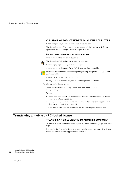#### **C. INSTALL A PRODUCT UPDATE ON CLIENT COMPUTERS**

Before you proceed, the license server must be up and running.

The default location of the lightlicensemanager file is described in *[Reference](#page-21-0)  [information on the IAR Light License Manager](#page-21-0)*, page 22.

#### **Repeat these steps on each client computer:**

**1** Install your IAR Systems product update:

The default installation directory is /opt/iarsystems/.



\$ sudo dpkg|rpm -i *./product*.deb|rpm

where *product* is the name of your IAR Systems product update file.

Invoke the installer with Administrator privileges using the options /hide\_usd and /autoinstall:

*product*.exe /hide\_usd /autoinstall

where *product* is the name of your IAR Systems product update file.

**2** Connect to the license server:

lightlicensemanager setup *xxxx-xxx-xxx-xxxx* --host *host\_server\_name*

Where:

- *xxxx-xxx-xxx-xxxx* is the number of the network license renewed in *[B. Renew](#page-12-0)  [your network license](#page-12-0)*, page 13.
- *host\_server\_name* is the name or IP address of the license server updated in *[B.](#page-12-0)  [Renew your network license](#page-12-0)*, page 13.

You are now finished with the installation and the licensed product can be used.

## <span id="page-13-0"></span>**Transferring a mobile or PC-locked license**

#### **TRANSFER A MOBILE LICENSE TO ANOTHER COMPUTER**

To transfer a mobile license from one computer to another using a dongle, perform these steps:

**1** Remove the dongle with the license from the original computer, and attach it to the new computer you are transferring your mobile license to.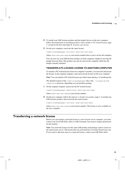- **2** To install your IAR Systems product and the dongle drivers on the new computer, follow the instructions in *[Installing products with a mobile or PC-locked license](#page-6-0)*, page [7](#page-6-0), except for the first step under *[B. Activate your license](#page-6-1)*.
- **3** On the new computer, reactivate the same license:

lightlicensemanager activate *xxxx-xxx-xxx-xxxx*

where *xxxx-xxx-xxx-xxxx* is your license number that is active on the old computer.

You can now use your IAR Systems product on both computers simply by moving the dongle between them. The product can only be used on the computer which has the dongle currently attached.

#### **TRANSFER A PC-LOCKED LICENSE TO ANOTHER COMPUTER**

To transfer a PC-locked license from one computer to another, you must first deactivate the license on the original computer, and reactivate the license on the new computer.

**Note:** You can transfer a PC-locked license up to three times during a 12-month period.

The default location of the lightlicensemanager file is the ./license/bin or common/bin directory, depending on your product package.

**1** On the original computer, deactivate the PC-locked license:

lightlicensemanager deactivate *xxxx-xxx-xxx-xxxx*

where *xxxx-xxx-xxx-xxxx* is your license number.

**2** On the new computer, follow the steps in *[A. Install your product](#page-6-2)*, page 7, to install your IAR Systems product, then reactivate the same license:

lightlicensemanager activate *xxxx-xxx-xxx-xxxx*

where *xxxx-xxx-xxx*-*xxxx* is your license number. The license is now available on the new computer.

## <span id="page-14-0"></span>**Transferring a network license**

Before you can transfer a network license to a new license server computer, you must contact your local IAR Sales office or IAR Customer Care team to request permission for the transfer.

**Note:** Two network licenses for the same IAR product and package cannot coexist on the same license server. The license that was activated last overwrites the previous one. If you want to add more users to a network license, contact your IAR Sales office.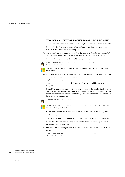#### **TRANSFER A NETWORK LICENSE LOCKED TO A DONGLE**

You can transfer a network license locked to a dongle to another license server computer.

- **1** Remove the dongle with your network license from the old license server computer and attach it to the new license server computer.
- **2** On the new license server computer, follow the steps in *[A. Install and set up the IAR](#page-7-1)  [License Server Tools](#page-7-1)*, page 8, to install and start the IAR License Server Tools.
- **3** Run the following commands to install the dongle drivers:



\$ cd license server tools/common/drivers/dongle \$ sudo sh sud install.sh



installation.

The dongle drivers are automatically installed with the IAR License Server Tools

**4** Reactivate the same network license you used on the original license server computer:

```
cd /license_server_tools/common/bin
lightlicensemanager activate xxxx-xxx-xxx-xxxx
```
where *xxxx-xxx-xxx-xxxx* is the license number from the old license server computer.

**Note:** If you want to transfer all network licenses locked to the dongle, simply copy the lservrc file from your original license server computer to the same location on the new license server computer, instead of reactivating all the network licenses one by one. The lservrc file is located here:



license\_server\_tools/common/bin



\Program Files (x86)\Common Files\SafeNet Sentinel\Sentinel RMS License Manager\WinNT



lightlicensemanager nwlics

You have now transferred your network licenses to the new license server computer.

**Note:** The network license can only be used on the license server computer which has the dongle currently attached.

**6** On each client computer you want to connect to the new license server, repeat these steps:

lightlicensemanager setup *xxxx-xxx-xxx-xxxx* --host *host\_server\_name*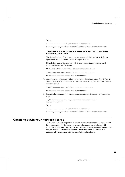Where:

- *xxxx-xxx-xxx-xxxx* is your network license number.
- *host\_server\_name* is the name or IP address of your new server computer.

#### **TRANSFER A NETWORK LICENSE LOCKED TO A LICENSE SERVER COMPUTER**

The default location of the lightlicensemanager file is described in *[Reference](#page-21-0)  [information on the IAR Light License Manager](#page-21-0)*, page 22.

**Note:** Before transferring your network license, you must make sure that are all commuter licenses are checked in.

**1** On the original server computer, deactivate the network license:

lightlicensemanager deactivate *xxxx-xxx-xxx-xxxx*

where *xxxx-xxx-xxx-xxxx* is your license number.

**2** On the new server computer, follow the steps in *[A. Install and set up the IAR License](#page-7-1)  [Server Tools](#page-7-1)*, page 8, to install the IAR License Server Tools, then reactivate the same network license:

lightlicensemanager activate *xxxx-xxx-xxx-xxxx*

where *xxxx-xxx-xxx-xxxx* is your license number.

**3** For each client computer you want to connect to the new license server, repeat these steps:

lightlicensemanager setup *xxxx-xxx-xxx-xxxx* --host *host\_server\_name*

Where:

- *xxxx-xxx-xxx-xxxx* is your network license number.
- *host\_server\_name* is the name or IP address of your new server computer.

## <span id="page-16-0"></span>**Checking out/in your network license**

To use your IAR Systems product on a client computer for a number of days, without being connected to the license server, you can check out a network license with commuter authorization. You can also check in or terminate the commuter authorization for your network license before it expires. **If not checked in, the license will automatically be returned after the specified number of days.**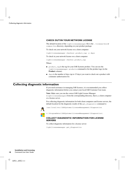#### **CHECK OUT/IN YOUR NETWORK LICENSE**

The default location of the lightlicensemanager file is the ./license/bin or common/bin directory, depending on your product package.

To check out your network license on a client computer:

lightlicensemanager checkout *product\_tag* -y *days*

To check in your network license on a client computer:

lightlicensemanager checkin *product\_tag*

Where:

- *product\_tag* is the tag for your IAR Systems product. You can use the lightlicensemanager products command to list the product tags (in the **Product** column).
- *days* is the number of days (up to 15 days) you want to check out a product with commuter authorization for.

## <span id="page-17-0"></span>**Collecting diagnostic information**

If you need assistance in managing IAR licenses, it is recommended you collect diagnostic information before you contact your local IAR Customer Care team.

**Note:** Make sure you run the correct IAR Light License Manager (lightlicensemanager) from the corresponding directory, that is, a client computer or a license server.

For collecting diagnostic information for both client computers and license servers, the default location for the diagnostic results of the get diagnostic command is:



/usr/local/etc/IARSystems/LicenseManagement/Diagnostics.

c:\ProgramData\IARSystems\LicenseManagement\Diagnostics\.

#### **COLLECT DIAGNOSTIC INFORMATION FOR LICENSE SERVERS**

To collect diagnostic information for a license server:

lightlicensemanager get\_diagnostics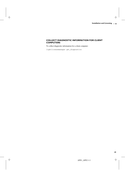#### **COLLECT DIAGNOSTIC INFORMATION FOR CLIENT COMPUTERS**

To collect diagnostic information for a client computer:

lightlicensemanager get\_diagnostics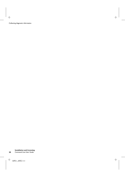Collecting diagnostic information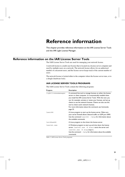## **Reference information**

This chapter provides reference information on the IAR License Server Tools and the IAR Light License Manager.

## <span id="page-20-0"></span>**Reference information on the IAR License Server Tools**

The IAR License Server Tools are used for managing your network license.

A network license is a multi-user license that is located on a license server computer and used by multiple users on a network. The network license allows for an authorized number of concurrent users, and the license server keeps track of the current number of users.

The network license is locked either to the computer where the license server runs, or to a dongle (hardware lock).

#### **IAR LICENSE SERVER TOOLS PROGRAMS**

The IAR License Server Tools contain the following programs:

| Program             | <b>Description</b>                                                                                                                                                                                                                                                                                                                                                                                                                               |
|---------------------|--------------------------------------------------------------------------------------------------------------------------------------------------------------------------------------------------------------------------------------------------------------------------------------------------------------------------------------------------------------------------------------------------------------------------------------------------|
| lightlicensemanager | A command line tool to manage licenses on either the license<br>server or client computer. It is automatically installed when<br>you install the IAR License Server Tools. With this tool, you<br>can, for example, activate or renew your licenses, and set up<br>clients to use the network licenses. Clients can also use this<br>tool to check out/in network licenses.<br>For more information about the command, see Commands,<br>page 23. |
| l <sub>serv64</sub> | A Linux program to start up the license server. Make sure<br>your server firewall allows inbound traffic on UDP port 5093.<br>Use the command $1$ serv $64$ --help for information about<br>the available commands.                                                                                                                                                                                                                              |
| $l$ srydown64       | A Linux program to shut down the license server.                                                                                                                                                                                                                                                                                                                                                                                                 |
| lservnt.exe         | A Windows program to start up and shut down the license<br>server. lservnt.exe -X start starts the server and<br>lservnt.exe -X stop stops it.<br>Use the command $-\text{help}$ for information about the available                                                                                                                                                                                                                             |
|                     | commands.                                                                                                                                                                                                                                                                                                                                                                                                                                        |

*Table 2: IAR License Server Tools programs*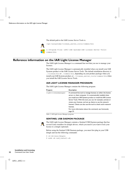The default path to the IAR License Server Tools is:



## <span id="page-21-0"></span>**Reference information on the IAR Light License Manager**

The IAR Light License Manager is a command line tool that you use to manage your licenses.

The IAR Light License Manager is automatically installed when you install your IAR Systems product or the IAR License Server Tools. The default installation directory is ./license/bin or ./common/bin, depending on your product package when you install your IAR Systems product, or ./license\_server\_tools/common/bin when you install the IAR License Server Tools.

#### **IAR LIGHT LICENSE MANAGER PROGRAMS**

The IAR Light License Manager contains the following program:

| Program             | <b>Description</b>                                               |
|---------------------|------------------------------------------------------------------|
| lightlicensemanager | A command line tool to manage licenses on either the license     |
|                     | server or client computer. It is automatically installed when    |
|                     | you install your IAR Systems product or install the IAR License  |
|                     | Server Tools. With this tool, you can, for example, activate or  |
|                     | renew your licenses, and set up clients to use the network       |
|                     | licenses. Clients can also use this tool to check out/in network |
|                     | licenses.                                                        |
|                     | For more information about the command, see Commands,            |
|                     | page 23.                                                         |

*Table 3: IAR Light License Manager programs*

#### **SENTINEL USB DAEMON PACKAGE**



The IAR Light License Manager contains a Sentinel USB Daemon package that has several Linux installers for dongle drivers, which you need if you want to lock your license to a dongle (optional).

Before using the Sentinel USB Daemon package, you must first plug in your USB dongle and run the following commands:

```
$ cd drivers/dongle
```

```
$ sudo sh sud_install.sh
```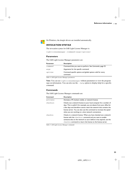

On Windows, the dongle drivers are installed automatically.

#### **INVOCATION SYNTAX**

The invocation syntax for IAR Light License Manager is:

```
lightlicensemanager [command][args][options]
```
#### **Parameters**

The IAR Light License Manager parameters are:

| <b>Parameter</b> | <b>Description</b>                                                      |
|------------------|-------------------------------------------------------------------------|
| command          | Command that you want to perform. See Commands, page 23.                |
| args             | Arguments for the specific command.                                     |
| options          | Command specific options and global options valid for every<br>command. |

*Table 4: IAR Light License Manager parameters*

**Note:** You can use lightlicensemanager without parameters to view the program sign-on information. You can also use the --help option to display help for a specific command.

#### <span id="page-22-0"></span>**Commands**

The IAR Light License Manager commands are:

| Command  | <b>Description</b>                                                                                                                                                                                                                                                                                                                                    |
|----------|-------------------------------------------------------------------------------------------------------------------------------------------------------------------------------------------------------------------------------------------------------------------------------------------------------------------------------------------------------|
| activate | Activates a PC-locked, mobile, or network license.                                                                                                                                                                                                                                                                                                    |
| checkout | Checks out a network license to your local computer for a number of<br>days. This is useful if, for example, you are absent from your office for<br>a few days and therefore cannot reach the network that contains the<br>license server. You can also use this command to increase the speed<br>when you are working on a slow network connections. |
| checkin  | Checks in a network license. When you have checked out a network<br>license with the checkout command and you want to enable<br>someone else on the network to use it before it has expired, use the<br>check in command to return the license to the license server.                                                                                 |

*Table 5: IAR Light License Manager commands*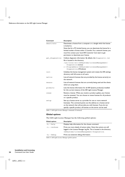| Command         | <b>Description</b>                                                                                                                                                                                                                                                                                                                               |
|-----------------|--------------------------------------------------------------------------------------------------------------------------------------------------------------------------------------------------------------------------------------------------------------------------------------------------------------------------------------------------|
| deactivate      | Deactivates a license from a computer or a dongle which the license<br>is locked to.<br>Note that for a PC-locked license, you can deactivate the license for a<br>limited number of times within 12 months. For a network license, you<br>must first contact your local IAR Customer Care team to get<br>permission to deactivate your license. |
| get diagnostics | Collects diagnostic information. By default, the Diagnostic.txt<br>file is located in the directory<br>/usr/local/etc/IARSystems/LicenseManagement/<br>Diagnostics (Linux)<br>c:\ProgramData\IARSystems\LicenseManagement\<br>Diagnostics (Windows)                                                                                              |
| init            | Initializes the license management system and creates the IAR settings<br>directory with full access to all users.                                                                                                                                                                                                                               |
| nwlics          | Lists all network licenses that are provided by the license server(s) on<br>the network.                                                                                                                                                                                                                                                         |
| nwusrs          | Lists all network licenses that are currently being used and the clients<br>which are using them.                                                                                                                                                                                                                                                |
| products        | Lists the license information for all IAR Systems product(s) installed<br>for this current instance of the IAR Light License Manager.                                                                                                                                                                                                            |
| renew           | Renews a license. When you receive a product update, your license<br>must be renewed. You can choose to renew licenses for all products<br>or a specific product.                                                                                                                                                                                |
| setup           | Sets up a license server as a provider for one or more network<br>license(s). This command points out the address to a license server<br>on the network that will provide you with licenses. If you do not<br>specify a specific product, all licenses on the server can be used.                                                                |

*Table 5: IAR Light License Manager commands (Continued)*

#### **Global options**

The IAR Light License Manager has the following global options:

| <b>Global options</b> | <b>Description</b>                                                                                                                                                                            |
|-----------------------|-----------------------------------------------------------------------------------------------------------------------------------------------------------------------------------------------|
| $-h, -h$ elp          | Displays help information for the chosen command.                                                                                                                                             |
| -v.--verbose          | Prints out more details of actions taken. Note that actions are still<br>logged in the License Manager log file. The is located in the directory<br>IARSystems/LicenseManagement/Diagnostics. |
| -d. --debua           | Prints out extensive debug information.                                                                                                                                                       |

*Table 6: IAR Light License Manager global options*